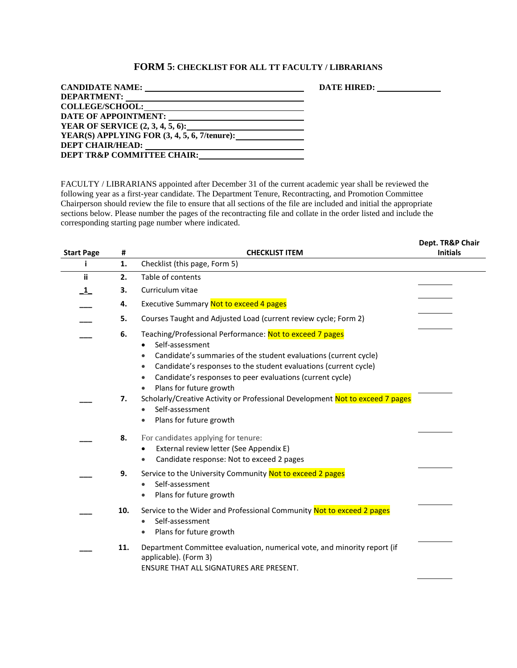## **FORM 5: CHECKLIST FOR ALL TT FACULTY / LIBRARIANS**

|                                                                                        | DATE HIRED: 2000 |
|----------------------------------------------------------------------------------------|------------------|
| <b>DEPARTMENT:</b><br><u> 1989 - Andrea Stadt Britain, amerikansk politik (* 1958)</u> |                  |
|                                                                                        |                  |
| DATE OF APPOINTMENT:<br><u> 1989 - Andrea Brand, amerikansk politik (d. 1989)</u>      |                  |
| YEAR OF SERVICE (2, 3, 4, 5, 6):                                                       |                  |
| YEAR(S) APPLYING FOR $(3, 4, 5, 6, 7/\text{tenure})$ :                                 |                  |
| <b>DEPT CHAIR/HEAD:</b><br><u> 1989 - Johann Stoff, Amerikaansk politiker (* 1908)</u> |                  |
| DEPT TR&P COMMITTEE CHAIR:                                                             |                  |

FACULTY / LIBRARIANS appointed after December 31 of the current academic year shall be reviewed the following year as a first-year candidate. The Department Tenure, Recontracting, and Promotion Committee Chairperson should review the file to ensure that all sections of the file are included and initial the appropriate sections below. Please number the pages of the recontracting file and collate in the order listed and include the corresponding starting page number where indicated.

| <b>Start Page</b> | #        | <b>CHECKLIST ITEM</b>                                                                                                                                                                                                                                                                                                                                                                                                                                        | Dept. TR&P Chair<br><b>Initials</b> |
|-------------------|----------|--------------------------------------------------------------------------------------------------------------------------------------------------------------------------------------------------------------------------------------------------------------------------------------------------------------------------------------------------------------------------------------------------------------------------------------------------------------|-------------------------------------|
| i.                | 1.       | Checklist (this page, Form 5)                                                                                                                                                                                                                                                                                                                                                                                                                                |                                     |
| ii                | 2.       | Table of contents                                                                                                                                                                                                                                                                                                                                                                                                                                            |                                     |
| $\mathbf{1}$      | З.       | Curriculum vitae                                                                                                                                                                                                                                                                                                                                                                                                                                             |                                     |
|                   | 4.       | Executive Summary Not to exceed 4 pages                                                                                                                                                                                                                                                                                                                                                                                                                      |                                     |
|                   | 5.       | Courses Taught and Adjusted Load (current review cycle; Form 2)                                                                                                                                                                                                                                                                                                                                                                                              |                                     |
|                   | 6.<br>7. | Teaching/Professional Performance: Not to exceed 7 pages<br>Self-assessment<br>Candidate's summaries of the student evaluations (current cycle)<br>$\bullet$<br>Candidate's responses to the student evaluations (current cycle)<br>Candidate's responses to peer evaluations (current cycle)<br>٠<br>Plans for future growth<br>Scholarly/Creative Activity or Professional Development Not to exceed 7 pages<br>Self-assessment<br>Plans for future growth |                                     |
|                   | 8.       | For candidates applying for tenure:<br>External review letter (See Appendix E)<br>Candidate response: Not to exceed 2 pages                                                                                                                                                                                                                                                                                                                                  |                                     |
|                   | 9.       | Service to the University Community Not to exceed 2 pages<br>Self-assessment<br>Plans for future growth                                                                                                                                                                                                                                                                                                                                                      |                                     |
|                   | 10.      | Service to the Wider and Professional Community Not to exceed 2 pages<br>Self-assessment<br>Plans for future growth                                                                                                                                                                                                                                                                                                                                          |                                     |
|                   | 11.      | Department Committee evaluation, numerical vote, and minority report (if<br>applicable). (Form 3)<br>ENSURE THAT ALL SIGNATURES ARE PRESENT.                                                                                                                                                                                                                                                                                                                 |                                     |